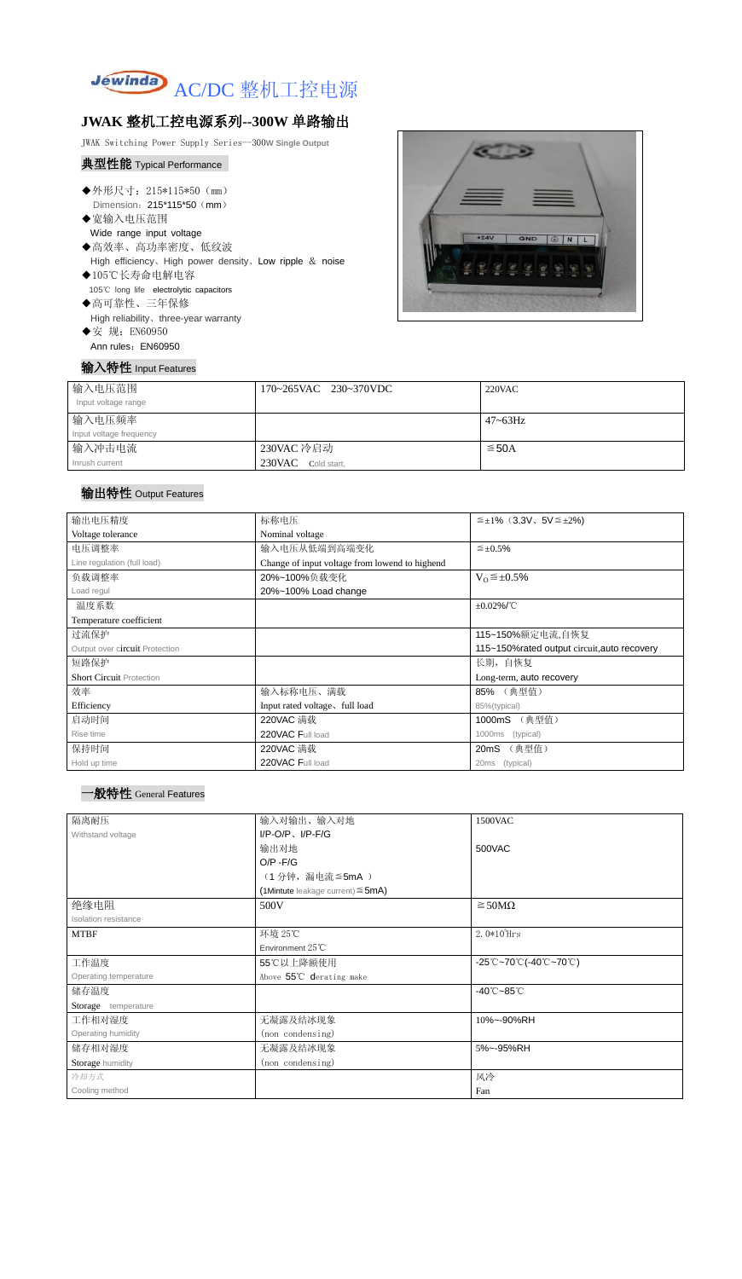

## **JWAK** 整机工控电源系列**--300W** 单路输出

JWAK Switching Power Supply Series--300**W Single Output**

# 典型性能 Typical Performance

- ◆外形尺寸: 215\*115\*50 (mm) Dimension: 215\*115\*50 (mm)
- ◆宽输入电压范围 Wide range input voltage
- ◆高效率、高功率密度、低纹波 High efficiency、High power density、Low ripple & noise
- ◆105℃长寿命电解电容 105℃ long life electrolytic capacitors ◆高可靠性、三年保修
	- High reliability、three-year warranty
- ◆安 规: EN60950 Ann rules: EN60950



| 输入特性 Input Features |                       |
|---------------------|-----------------------|
| 输入电压范围              | 170~265VAC 230~370VDC |
| Input voltage range |                       |
| 輪入由圧痂索              |                       |

| 输入电压范围                  | 170~265VAC 230~370VDC | <b>220VAC</b> |
|-------------------------|-----------------------|---------------|
| Input voltage range     |                       |               |
| 输入电压频率                  |                       | $47 - 63$ Hz  |
| Input voltage frequency |                       |               |
| 输入冲击电流                  | 230VAC 冷启动            | $\leq$ 50A    |
| Inrush current          | 230VAC Cold start,    |               |

### 输出特性 Output Features



| 输出电压精度                          | 标称电压                                           | $\leq \pm 1\%$ (3.3V, 5V $\leq \pm 2\%$ ) |  |
|---------------------------------|------------------------------------------------|-------------------------------------------|--|
| Voltage tolerance               | Nominal voltage                                |                                           |  |
| 电压调整率                           | 输入电压从低端到高端变化                                   | $\leq \pm 0.5\%$                          |  |
| Line regulation (full load)     | Change of input voltage from lowend to highend |                                           |  |
| 负载调整率                           | 20%~100%负载变化                                   | $V_0 \leq \pm 0.5\%$                      |  |
| Load regul                      | 20%~100% Load change                           |                                           |  |
| 温度系数                            |                                                | $\pm 0.02\%$ /°C                          |  |
| Temperature coefficient         |                                                |                                           |  |
| 过流保护                            | 115~150%额定电流,自恢复                               |                                           |  |
| Output over circuit Protection  | 115~150% rated output circuit, auto recovery   |                                           |  |
| 短路保护                            |                                                | 长期, 自恢复                                   |  |
| <b>Short Circuit Protection</b> |                                                | Long-term, auto recovery                  |  |
| 效率                              | 输入标称电压、满载                                      | 85% (典型值)                                 |  |
| Efficiency                      | Input rated voltage, full load                 | 85%(typical)                              |  |
| 启动时间                            | 220VAC 满载                                      | (典型值)<br>1000mS                           |  |
| Rise time                       | 220VAC Full load                               | 1000ms (typical)                          |  |
| 保持时间                            | 220VAC 满载                                      | 20mS (典型值)                                |  |
| Hold up time                    | 220VAC Full load                               | (typical)<br>20 <sub>ms</sub>             |  |

| 隔离耐压                  | 输入对输出、输入对地                                | 1500VAC                         |  |
|-----------------------|-------------------------------------------|---------------------------------|--|
| Withstand voltage     | $I/P-O/P$ , $I/P$ -F/G                    |                                 |  |
|                       | 输出对地                                      | 500VAC                          |  |
|                       | $O/P - F/G$                               |                                 |  |
|                       | (1分钟,漏电流≦5mA)                             |                                 |  |
|                       | $(1$ Mintute leakage current) $\leq$ 5mA) |                                 |  |
| 绝缘电阻                  | 500V                                      | $\geq$ 50M $\Omega$             |  |
| Isolation resistance  |                                           |                                 |  |
| <b>MTBF</b>           | 环境 25℃                                    | $2.0*105$ Hrs                   |  |
|                       | Environment $25^{\circ}$ C                |                                 |  |
| 工作温度                  | 55℃以上降额使用                                 | -25℃~70℃(-40℃~70℃)              |  |
| Operating temperature | Above 55°C derating make                  |                                 |  |
| 储存温度                  |                                           | $-40^{\circ}$ C $-85^{\circ}$ C |  |
| Storage temperature   |                                           |                                 |  |
| 工作相对湿度                | 无凝露及结冰现象                                  | 10%~-90%RH                      |  |
| Operating humidity    | (non condensing)                          |                                 |  |
| 储存相对湿度                | 无凝露及结冰现象                                  | 5%~-95%RH                       |  |
| Storage humidity      | (non condensing)                          |                                 |  |
| 冷却方式                  |                                           | 风冷                              |  |
| Cooling method        |                                           | Fan                             |  |